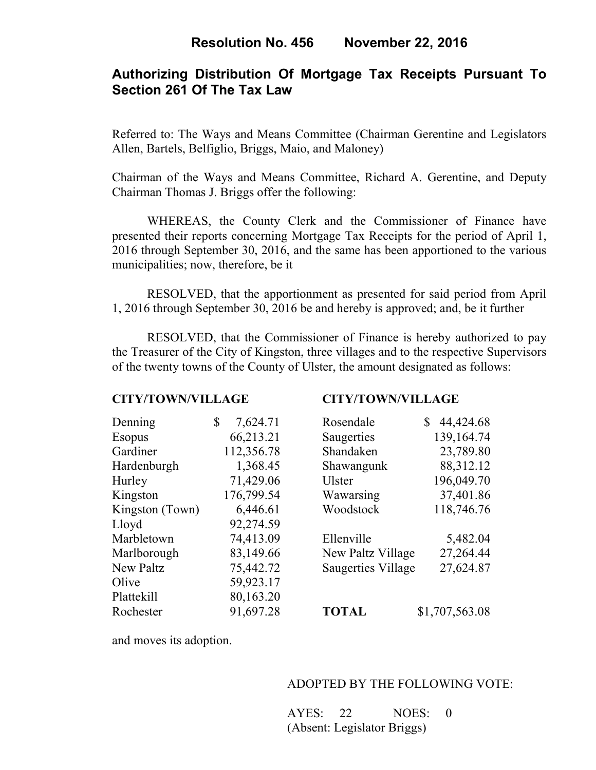# **Authorizing Distribution Of Mortgage Tax Receipts Pursuant To Section 261 Of The Tax Law**

Referred to: The Ways and Means Committee (Chairman Gerentine and Legislators Allen, Bartels, Belfiglio, Briggs, Maio, and Maloney)

Chairman of the Ways and Means Committee, Richard A. Gerentine, and Deputy Chairman Thomas J. Briggs offer the following:

WHEREAS, the County Clerk and the Commissioner of Finance have presented their reports concerning Mortgage Tax Receipts for the period of April 1, 2016 through September 30, 2016, and the same has been apportioned to the various municipalities; now, therefore, be it

 RESOLVED, that the apportionment as presented for said period from April 1, 2016 through September 30, 2016 be and hereby is approved; and, be it further

 RESOLVED, that the Commissioner of Finance is hereby authorized to pay the Treasurer of the City of Kingston, three villages and to the respective Supervisors of the twenty towns of the County of Ulster, the amount designated as follows:

#### **CITY/TOWN/VILLAGE CITY/TOWN/VILLAGE**

| Denning         | \$<br>7,624.71 | Rosendale                 | 44,424.68<br>S |
|-----------------|----------------|---------------------------|----------------|
| <b>Esopus</b>   | 66,213.21      | Saugerties                | 139,164.74     |
| Gardiner        | 112,356.78     | Shandaken                 | 23,789.80      |
| Hardenburgh     | 1,368.45       | Shawangunk                | 88,312.12      |
| Hurley          | 71,429.06      | <b>Ulster</b>             | 196,049.70     |
| Kingston        | 176,799.54     | Wawarsing                 | 37,401.86      |
| Kingston (Town) | 6,446.61       | Woodstock                 | 118,746.76     |
| Lloyd           | 92,274.59      |                           |                |
| Marbletown      | 74,413.09      | Ellenville                | 5,482.04       |
| Marlborough     | 83,149.66      | New Paltz Village         | 27,264.44      |
| New Paltz       | 75,442.72      | <b>Saugerties Village</b> | 27,624.87      |
| Olive           | 59,923.17      |                           |                |
| Plattekill      | 80,163.20      |                           |                |
| Rochester       | 91,697.28      | <b>TOTAL</b>              | \$1,707,563.08 |

and moves its adoption.

## ADOPTED BY THE FOLLOWING VOTE:

 AYES: 22 NOES: 0 (Absent: Legislator Briggs)